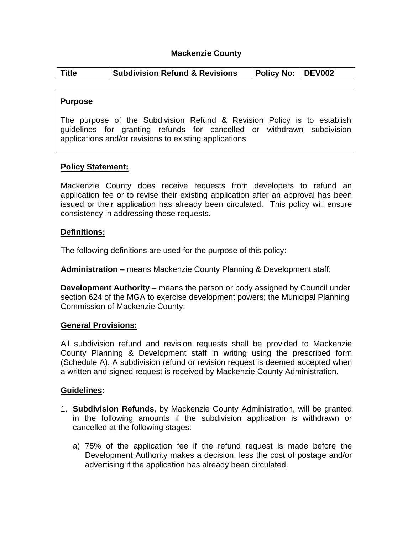## **Mackenzie County**

|  | <b>Title</b> | <b>Subdivision Refund &amp; Revisions</b> | Policy No: DEV002 |  |  |
|--|--------------|-------------------------------------------|-------------------|--|--|
|--|--------------|-------------------------------------------|-------------------|--|--|

### **Purpose**

The purpose of the Subdivision Refund & Revision Policy is to establish guidelines for granting refunds for cancelled or withdrawn subdivision applications and/or revisions to existing applications.

## **Policy Statement:**

Mackenzie County does receive requests from developers to refund an application fee or to revise their existing application after an approval has been issued or their application has already been circulated. This policy will ensure consistency in addressing these requests.

#### **Definitions:**

The following definitions are used for the purpose of this policy:

**Administration –** means Mackenzie County Planning & Development staff;

**Development Authority** – means the person or body assigned by Council under section 624 of the MGA to exercise development powers; the Municipal Planning Commission of Mackenzie County.

#### **General Provisions:**

All subdivision refund and revision requests shall be provided to Mackenzie County Planning & Development staff in writing using the prescribed form (Schedule A). A subdivision refund or revision request is deemed accepted when a written and signed request is received by Mackenzie County Administration.

#### **Guidelines:**

- 1. **Subdivision Refunds**, by Mackenzie County Administration, will be granted in the following amounts if the subdivision application is withdrawn or cancelled at the following stages:
	- a) 75% of the application fee if the refund request is made before the Development Authority makes a decision, less the cost of postage and/or advertising if the application has already been circulated.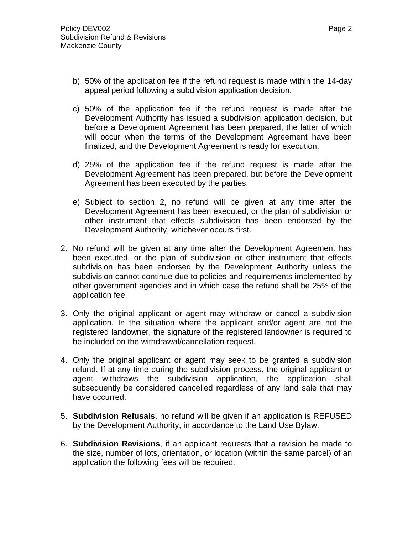- b) 50% of the application fee if the refund request is made within the 14-day appeal period following a subdivision application decision.
- c) 50% of the application fee if the refund request is made after the Development Authority has issued a subdivision application decision, but before a Development Agreement has been prepared, the latter of which will occur when the terms of the Development Agreement have been finalized, and the Development Agreement is ready for execution.
- d) 25% of the application fee if the refund request is made after the Development Agreement has been prepared, but before the Development Agreement has been executed by the parties.
- e) Subject to section 2, no refund will be given at any time after the Development Agreement has been executed, or the plan of subdivision or other instrument that effects subdivision has been endorsed by the Development Authority, whichever occurs first.
- 2. No refund will be given at any time after the Development Agreement has been executed, or the plan of subdivision or other instrument that effects subdivision has been endorsed by the Development Authority unless the subdivision cannot continue due to policies and requirements implemented by other government agencies and in which case the refund shall be 25% of the application fee.
- 3. Only the original applicant or agent may withdraw or cancel a subdivision application. In the situation where the applicant and/or agent are not the registered landowner, the signature of the registered landowner is required to be included on the withdrawal/cancellation request.
- 4. Only the original applicant or agent may seek to be granted a subdivision refund. If at any time during the subdivision process, the original applicant or agent withdraws the subdivision application, the application shall subsequently be considered cancelled regardless of any land sale that may have occurred.
- 5. **Subdivision Refusals**, no refund will be given if an application is REFUSED by the Development Authority, in accordance to the Land Use Bylaw.
- 6. **Subdivision Revisions**, if an applicant requests that a revision be made to the size, number of lots, orientation, or location (within the same parcel) of an application the following fees will be required: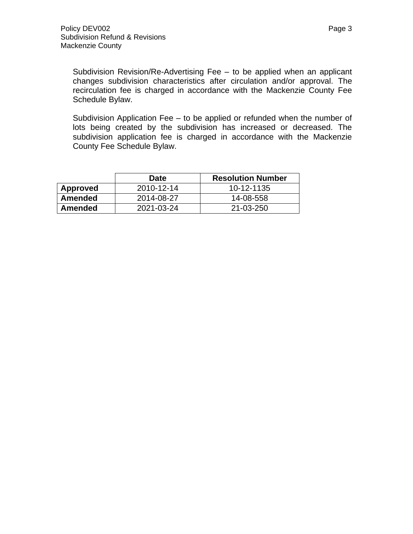Subdivision Revision/Re-Advertising Fee – to be applied when an applicant changes subdivision characteristics after circulation and/or approval. The recirculation fee is charged in accordance with the Mackenzie County Fee Schedule Bylaw.

Subdivision Application Fee – to be applied or refunded when the number of lots being created by the subdivision has increased or decreased. The subdivision application fee is charged in accordance with the Mackenzie County Fee Schedule Bylaw.

|                | <b>Date</b> | <b>Resolution Number</b> |
|----------------|-------------|--------------------------|
| Approved       | 2010-12-14  | 10-12-1135               |
| Amended        | 2014-08-27  | 14-08-558                |
| <b>Amended</b> | 2021-03-24  | 21-03-250                |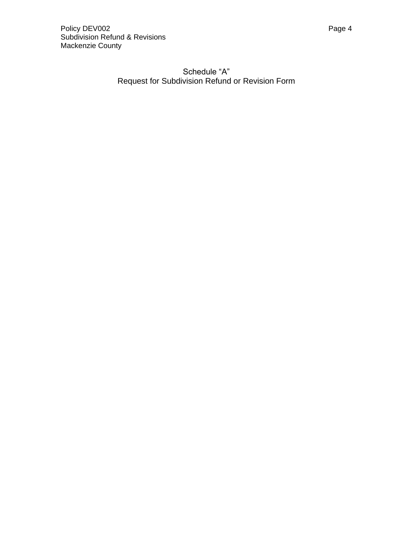## Schedule "A" Request for Subdivision Refund or Revision Form